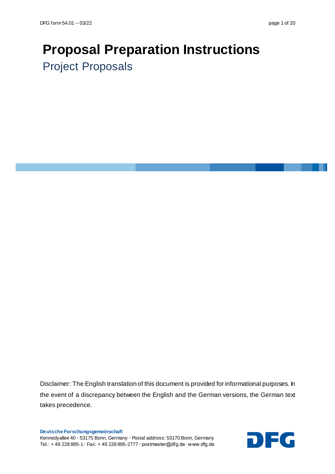# **Proposal Preparation Instructions** Project Proposals

Disclaimer: The English translation of this document is provided for informational purposes. In the event of a discrepancy between the English and the German versions, the German text takes precedence.

**Deutsche Forschungsgemeinschaft** Kennedyallee 40 **∙** 53175 Bonn, Germany **∙** Postal address: 53170 Bonn, Germany Kennedyallee 40 · 53175 Bonn, Germany · Postal address: 53170 Bonn, Germany<br>Tel.: + 49 228 885-1 · Fax: + 49 228 885-2777 · postmaster@dfg.de · www.dfg.de

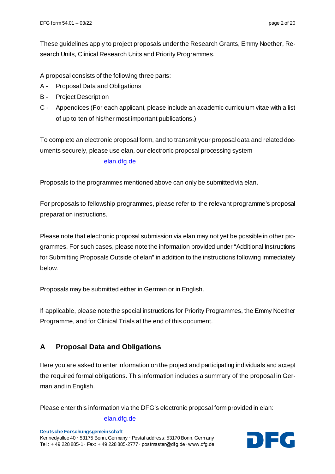These guidelines apply to project proposals under the Research Grants, Emmy Noether, Research Units, Clinical Research Units and Priority Programmes.

A proposal consists of the following three parts:

- A Proposal Data and Obligations
- B Project Description
- C Appendices (For each applicant, please include an academic curriculum vitae with a list of up to ten of his/her most important publications.)

To complete an electronic proposal form, and to transmit your proposal data and related documents securely, please use elan, our electronic proposal processing system

#### [elan.dfg.de](https://elan.dfg.de/my.policy)

Proposals to the programmes [mentioned](http://dict.tu-chemnitz.de/english-german/above-mentioned.html) above can only be submitted via elan.

For proposals to fellowship programmes, please refer to the relevant programme's proposal preparation instructions.

Please note that electronic proposal submission via elan may not yet be possible in other programmes. For such cases, please note the information provided under "Additional Instructions for Submitting Proposals Outside of elan" in addition to the instructions following immediately below.

Proposals may be submitted either in German or in English.

If applicable, please note the special instructions for Priority Programmes, the Emmy Noether Programme, and for Clinical Trials at the end of this document.

## **A Proposal Data and Obligations**

Here you are asked to enter information on the project and participating individuals and accept the required formal obligations. This information includes a summary of the proposal in German and in English.

Please enter this information via the DFG's electronic proposal form provided in elan:

#### [elan.dfg.de](https://elan.dfg.de/my.policy)

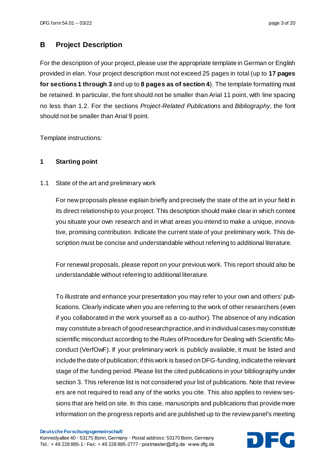## **B Project Description**

For the description of your project, please use the appropriate template in German or English provided in elan. Your project description must not exceed 25 pages in total (up to **17 pages for sections 1 through 3** and up to **8 pages as of section 4**). The template formatting must be retained. In particular, the font should not be smaller than Arial 11 point, with line spacing no less than 1.2. For the sections *Project-Related Publications* and *Bibliography*, the font should not be smaller than Arial 9 point.

Template instructions:

#### **1 Starting point**

1.1 State of the art and preliminary work

For new proposals please explain briefly and precisely the state of the art in your field in its direct relationship to your project. This description should make clear in which context you situate your own research and in what areas you intend to make a unique, innovative, promising contribution. Indicate the current state of your preliminary work. This description must be concise and understandable without referring to additional literature.

For renewal proposals, please report on your previous work. This report should also be understandable without referring to additional literature.

To illustrate and enhance your presentation you may refer to your own and others' publications. Clearly indicate when you are referring to the work of other researchers (even if you collaborated in the work yourself as a co-author). The absence of any indication may constitute a breach of good research practice, and in individual cases may constitute scientific misconduct according to the Rules of Procedure for Dealing with Scientific Misconduct (VerfOwF). If your preliminary work is publicly available, it must be listed and include the date of publication; if this work is based on DFG-funding, indicate the relevant stage of the funding period. Please list the cited publications in your bibliography under section 3. This reference list is not considered your list of publications. Note that reviewers are not required to read any of the works you cite. This also applies to review sessions that are held on site. In this case, manuscripts and publications that provide more information on the progress reports and are published up to the review panel's meeting

#### **Deutsche Forschungsgemeinschaft**

Kennedyallee 40 **∙** 53175 Bonn, Germany **∙** Postal address: 53170 Bonn, Germany Tel.: + 49 228 885-1 **<sup>∙</sup>** Fax: + 49 228 885-2777 **<sup>∙</sup>** postmaster@dfg.de ∙ www.dfg.de DFG

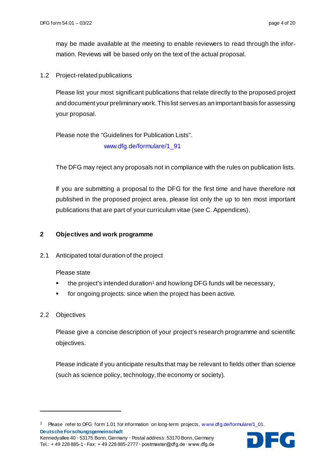may be made available at the meeting to enable reviewers to read through the information. Reviews will be based only on the text of the actual proposal.

1.2 Project-related publications

Please list your most significant publications that relate directly to the proposed project and document your preliminary work. This list serves as an important basis for assessing your proposal.

Please note the "Guidelines for Publication Lists". [www.dfg.de/formulare/1\\_91](http://www.dfg.de/formulare/1_91)

The DFG may reject any proposals not in compliance with the rules on publication lists.

If you are submitting a proposal to the DFG for the first time and have therefore not published in the proposed project area, please list only the up to ten most important publications that are part of your curriculum vitae (see C. Appendices).

#### **2 Objectives and work programme**

2.1 Anticipated total duration of the project

Please state

- the project's intended duration<sup>1</sup> and how long DFG funds will be necessary,
- for ongoing projects: since when the project has been active.

#### 2.2 Objectives

1

Please give a concise description of your project's research programme and scientific objectives.

Please indicate if you anticipate results that may be relevant to fields other than science (such as science policy, technology, the economy or society).

<span id="page-3-0"></span>**Deutsche Forschungsgemeinschaft** <sup>1</sup> Please refer to DFG form 1.01 for information on long-term projects[, w ww.dfg.de/formulare/1\\_01.](http://www.dfg.de/formulare/1_01)



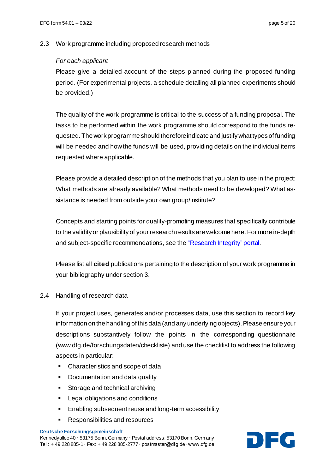#### 2.3 Work programme including proposed research methods

#### *For each applicant*

Please give a detailed account of the steps planned during the proposed funding period. (For experimental projects, a schedule detailing all planned experiments should be provided.)

The quality of the work programme is critical to the success of a funding proposal. The tasks to be performed within the work programme should correspond to the funds requested. The work programme should therefore indicate and justify what types of funding will be needed and how the funds will be used, providing details on the individual items requested where applicable.

Please provide a detailed description of the methods that you plan to use in the project: What methods are already available? What methods need to be developed? What assistance is needed from outside your own group/institute?

Concepts and starting points for quality-promoting measures that specifically contribute to the validity or plausibility of your research results are welcome here. For more in-depth and subject-specific recommendations, see th[e "Research Integrity" portal.](https://wissenschaftliche-integritaet.de/en/)

Please list all **cited** publications pertaining to the description of your work programme in your bibliography under section 3.

#### 2.4 Handling of research data

If your project uses, generates and/or processes data, use this section to record key information on the handling of this data (and any underlying objects). Please ensure your descriptions substantively follow the points in the corresponding questionnaire [\(www.dfg.de/forschungsdaten/checkliste](https://www.dfg.de/download/pdf/foerderung/grundlagen_dfg_foerderung/forschungsdaten/forschungsdaten_checkliste_en.pdf)) and use the checklist to address the following aspects in particular:

- Characteristics and scope of data
- Documentation and data quality
- **Storage and technical archiving**
- **Legal obligations and conditions**
- Enabling subsequent reuse and long-term accessibility
- Responsibilities and resources

#### **Deutsche Forschungsgemeinschaft**

Kennedyallee 40 **∙** 53175 Bonn, Germany **∙** Postal address: 53170 Bonn, Germany Kennedyallee 40 · 53175 Bonn, Germany · Postal address: 53170 Bonn, Germany<br>Tel.: + 49 228 885-1 · Fax: + 49 228 885-2777 · postmaster@dfg.de · www.dfg.de

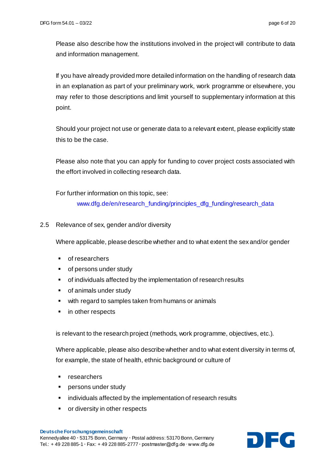Please also describe how the institutions involved in the project will contribute to data and information management.

If you have already provided more detailed information on the handling of research data in an explanation as part of your preliminary work, work programme or elsewhere, you may refer to those descriptions and limit yourself to supplementary information at this point.

Should your project not use or generate data to a relevant extent, please explicitly state this to be the case.

Please also note that you can apply for funding to cover project costs associated with the effort involved in collecting research data.

For further information on this topic, see:

[www.dfg.de/en/research\\_funding/principles\\_dfg\\_funding/research\\_data](https://www.dfg.de/en/research_funding/principles_dfg_funding/research_data/index.html)

2.5 Relevance of sex, gender and/or diversity

Where applicable, please describe whether and to what extent the sex and/or gender

- **of researchers**
- **•** of persons under study
- of individuals affected by the implementation of research results
- of animals under study
- with regard to samples taken from humans or animals
- in other respects

is relevant to the research project (methods, work programme, objectives, etc.).

Where applicable, please also describe whether and to what extent diversity in terms of, for example, the state of health, ethnic background or culture of

- researchers
- **Persons under study**
- individuals affected by the implementation of research results
- **•** or diversity in other respects

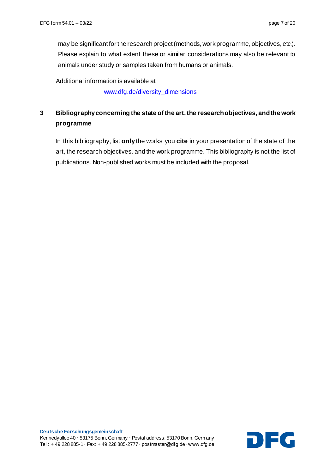may be significant for the research project (methods, work programme, objectives, etc.). Please explain to what extent these or similar considerations may also be relevant to animals under study or samples taken from humans or animals.

Additional information is available at

[www.dfg.de/diversity\\_dimensions](http://www.dfg.de/diversity_dimensions)

# **3 Bibliography concerning the state of the art, the research objectives, and the work programme**

In this bibliography, list **only** the works you **cite** in your presentation of the state of the art, the research objectives, and the work programme. This bibliography is not the list of publications. Non-published works must be included with the proposal.

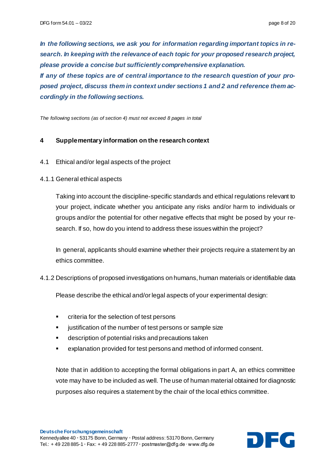*In the following sections, we ask you for information regarding important topics in research. In keeping with the relevance of each topic for your proposed research project, please provide a concise but sufficiently comprehensive explanation. If any of these topics are of central importance to the research question of your pro-*

*posed project, discuss them in context under sections 1 and 2 and reference them accordingly in the following sections.*

*The following sections (as of section 4) must not exceed 8 pages in total*

#### **4 Supplementary information on the research context**

- 4.1 Ethical and/or legal aspects of the project
- 4.1.1 General ethical aspects

Taking into account the discipline-specific standards and ethical regulations relevant to your project, indicate whether you anticipate any risks and/or harm to individuals or groups and/or the potential for other negative effects that might be posed by your research. If so, how do you intend to address these issues within the project?

In general, applicants should examine whether their projects require a statement by an ethics committee.

4.1.2 Descriptions of proposed investigations on humans, human materials or identifiable data

Please describe the ethical and/or legal aspects of your experimental design:

- criteria for the selection of test persons
- justification of the number of test persons or sample size
- description of potential risks and precautions taken
- explanation provided for test persons and method of informed consent.

Note that in addition to accepting the formal obligations in part A, an ethics committee vote may have to be included as well. The use of human material obtained for diagnostic purposes also requires a statement by the chair of the local ethics committee.

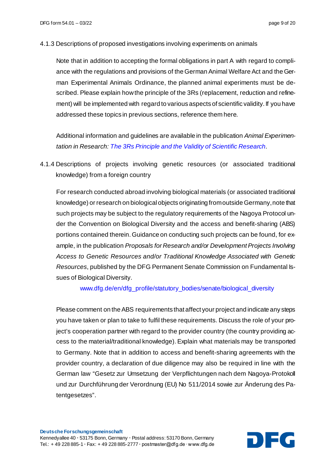4.1.3 Descriptions of proposed investigations involving experiments on animals

Note that in addition to accepting the formal obligations in part A with regard to compliance with the regulations and provisions of the German Animal WelfareAct and the German Experimental Animals Ordinance, the planned animal experiments must be described. Please explain how the principle of the 3Rs (replacement, reduction and refinement) will be implemented with regard to various aspects of scientific validity. If you have addressed these topics in previous sections, reference them here.

Additional information and guidelines are available in the publication *Animal Experimentation in Research[: The 3Rs Principle and the Validity of Scientific Research](http://www.dfg.de/download/pdf/dfg_im_profil/geschaeftsstelle/publikationen/handreichung_sk_tierversuche_en.pdf)*.

4.1.4 Descriptions of projects involving genetic resources (or associated traditional knowledge) from a foreign country

For research conducted abroad involving biological materials (or associated traditional knowledge) or research on biological objects originating from outside Germany, note that such projects may be subject to the regulatory requirements of the Nagoya Protocol under the Convention on Biological Diversity and the access and benefit-sharing (ABS) portions contained therein. Guidance on conducting such projects can be found, for example, in the publication *Proposals for Research and/or Development Projects Involving Access to Genetic Resources and/or Traditional Knowledge Associated with Genetic Resources*, published by the DFG Permanent Senate Commission on Fundamental Issues of Biological Diversity.

[www.dfg.de/en/dfg\\_profile/statutory\\_bodies/senate/biological\\_diversity](https://www.dfg.de/en/dfg_profile/statutory_bodies/senate/biological_diversity/index.html)

Please comment on the ABS requirements that affect your project and indicate any steps you have taken or plan to take to fulfil these requirements. Discuss the role of your project's cooperation partner with regard to the provider country (the country providing access to the material/traditional knowledge). Explain what materials may be transported to Germany. Note that in addition to access and benefit-sharing agreements with the provider country, a declaration of due diligence may also be required in line with the German law "Gesetz zur Umsetzung der Verpflichtungen nach dem Nagoya-Protokoll und zur Durchführung der Verordnung (EU) No 511/2014 sowie zur Änderung des Patentgesetzes".

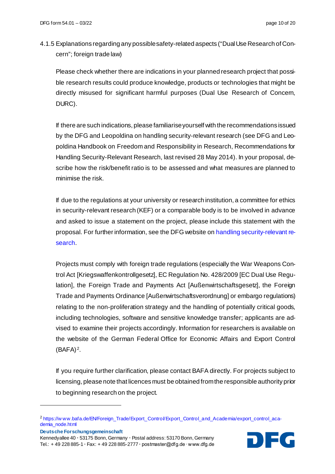4.1.5 Explanations regarding any possible safety-related aspects ("Dual Use Research of Concern"; foreign trade law)

Please check whether there are indications in your planned research project that possible research results could produce knowledge, products or technologies that might be directly misused for significant harmful purposes (Dual Use Research of Concern, DURC).

If there are such indications, please familiarise yourself with the recommendations issued by the DFG and Leopoldina on handling security-relevant research (see DFG and Leopoldina Handbook on Freedom and Responsibility in Research, Recommendations for Handling Security-Relevant Research, last revised 28 May 2014). In your proposal, describe how the risk/benefit ratio is to be assessed and what measures are planned to minimise the risk.

If due to the regulations at your university or research institution, a committee for ethics in security-relevant research (KEF) or a comparable body is to be involved in advance and asked to issue a statement on the project, please include this statement with the proposal. For further information, see the DFG website o[n handling security-relevant re](http://www.dfg.de/en/research_funding/principles_dfg_funding/security_relevant_research)[search.](http://www.dfg.de/en/research_funding/principles_dfg_funding/security_relevant_research)

Projects must comply with foreign trade regulations (especially the War Weapons Control Act [Kriegswaffenkontrollgesetz], EC Regulation No. 428/2009 [EC Dual Use Regulation], the Foreign Trade and Payments Act [Außenwirtschaftsgesetz], the Foreign Trade and Payments Ordinance [Außenwirtschaftsverordnung] or embargo regulations) relating to the non-proliferation strategy and the handling of potentially critical goods, including technologies, software and sensitive knowledge transfer; applicants are advised to examine their projects accordingly. Information for researchers is available on the website of the German Federal Office for Economic Affairs and Export Control  $(BAFA)<sup>2</sup>$ .

If you require further clarification, please contact BAFA directly. For projects subject to licensing, please note that licences must be obtained from the responsible authority prior to beginning research on the project.

**Deutsche Forschungsgemeinschaft**

1

Kennedyallee 40 **∙** 53175 Bonn, Germany **∙** Postal address: 53170 Bonn, Germany Tel.: + 49 228 885-1 **<sup>∙</sup>** Fax: + 49 228 885-2777 **<sup>∙</sup>** postmaster@dfg.de ∙ www.dfg.de DFG



<span id="page-9-0"></span><sup>2</sup> [https://w ww.bafa.de/EN/Foreign\\_Trade/Export\\_Control/Export\\_Control\\_and\\_Academia/export\\_control\\_aca](https://www.bafa.de/EN/Foreign_Trade/Export_Control/Export_Control_and_Academia/export_control_academia_node.html)[demia\\_node.html](https://www.bafa.de/EN/Foreign_Trade/Export_Control/Export_Control_and_Academia/export_control_academia_node.html)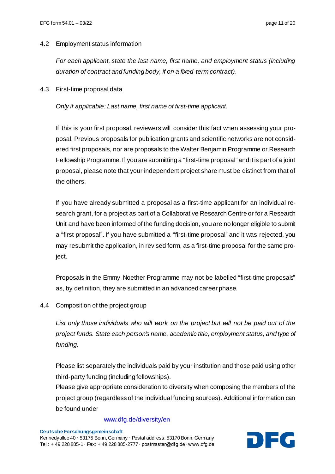#### 4.2 Employment status information

*For each applicant, state the last name, first name, and employment status (including duration of contract and funding body, if on a fixed-term contract).*

4.3 First-time proposal data

*Only if applicable: Last name, first name of first-time applicant.*

If this is your first proposal, reviewers will consider this fact when assessing your proposal. Previous proposals for publication grants and scientific networks are not considered first proposals, nor are proposals to the Walter Benjamin Programme or Research Fellowship Programme. If you are submitting a "first-time proposal" and it is part of a joint proposal, please note that your independent project share must be distinct from that of the others.

If you have already submitted a proposal as a first-time applicant for an individual research grant, for a project as part of a Collaborative Research Centre or for a Research Unit and have been informed of the funding decision, you are no longer eligible to submit a "first proposal". If you have submitted a "first-time proposal" and it was rejected, you may resubmit the application, in revised form, as a first-time proposal for the same project.

Proposals in the Emmy Noether Programme may not be labelled "first-time proposals" as, by definition, they are submitted in an advanced career phase.

4.4 Composition of the project group

*List only those individuals who will work on the project but will not be paid out of the project funds. State each person's name, academic title, employment status, and type of funding.*

Please list separately the individuals paid by your institution and those paid using other third-party funding (including fellowships).

Please give appropriate consideration to diversity when composing the members of the project group (regardless of the individual funding sources). Additional information can be found under

#### [www.dfg.de/diversity/en](http://www.dfg.de/diversity/en)

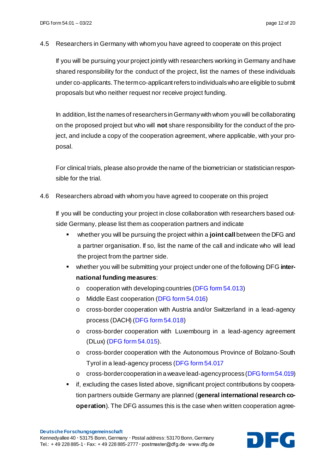4.5 Researchers in Germany with whom you have agreed to cooperate on this project

If you will be pursuing your project jointly with researchers working in Germany and have shared responsibility for the conduct of the project, list the names of these individuals under co-applicants. The term co-applicant refers to individuals who are eligible to submit proposals but who neither request nor receive project funding.

In addition, list the names of researchers in Germany with whom you will be collaborating on the proposed project but who will **not** share responsibility for the conduct of the project, and include a copy of the cooperation agreement, where applicable, with your proposal.

For clinical trials, please also provide the name of the biometrician or statistician responsible for the trial.

4.6 Researchers abroad with whom you have agreed to cooperate on this project

If you will be conducting your project in close collaboration with researchers based outside Germany, please list them as cooperation partners and indicate

- whether you will be pursuing the project within a **joint call** between the DFG and a partner organisation. If so, list the name of the call and indicate who will lead the project from the partner side.
- whether you will be submitting your project under one of the following DFG **international funding measures**:
	- o cooperation with developing countries (DFG form [54.013](http://www.dfg.de/formulare/54_013))
	- o Middle East cooperation (DFG form [54.016](http://www.dfg.de/formulare/54_016))
	- o cross-border cooperation with Austria and/or Switzerland in a lead-agency process (DACH) [\(DFG form](http://www.dfg.de/formulare/54_018) 54.018)
	- o cross-border cooperation with Luxembourg in a lead-agency agreement (DLux) (DFG form [54.015\)](http://www.dfg.de/formulare/54_015).
	- o cross-border cooperation with the Autonomous Province of Bolzano-South Tyrol in a lead-agency process [\(DFG form 54.017](http://www.dfg.de/formulare/54_017)
	- o cross-border cooperation in a weave lead-agency process [\(DFG form 54.019\)](http://www.dfg.de/formulare/54_019)
- if, excluding the cases listed above, significant project contributions by cooperation partners outside Germany are planned (**general international research cooperation**). The DFG assumes this is the case when written cooperation agree-

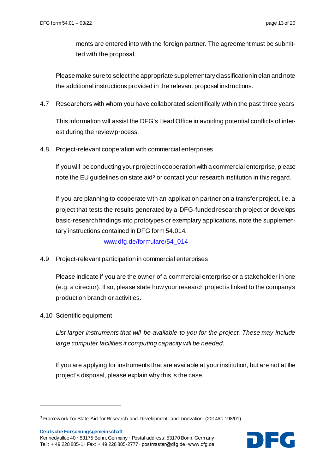ments are entered into with the foreign partner. The agreement must be submitted with the proposal.

Please make sure to select the appropriate supplementary classification in elan and note the additional instructions provided in the relevant proposal instructions.

4.7 Researchers with whom you have collaborated scientifically within the past three years

This information will assist the DFG's Head Office in avoiding potential conflicts of interest during the review process.

4.8 Project-relevant cooperation with commercial enterprises

If you will be conducting your project in cooperation with a commercial enterprise, please note the EU guidelines on state aid<sup>[3](#page-12-0)</sup> or contact your research institution in this regard.

If you are planning to cooperate with an application partner on a transfer project, i.e. a project that tests the results generated by a DFG-funded research project or develops basic-research findings into prototypes or exemplary applications, note the supplementary instructions contained in DFG form 54.014.

[www.dfg.de/formulare/54\\_014](http://www.dfg.de/formulare/54_014)

4.9 Project-relevant participation in commercial enterprises

Please indicate if you are the owner of a commercial enterprise or a stakeholder in one (e.g. a director). If so, please state how your research project is linked to the company's production branch or activities.

4.10 Scientific equipment

*List larger instruments that will be available to you for the project. These may include large computer facilities if computing capacity will be needed.*

If you are applying for instruments that are available at your institution, but are not at the project's disposal, please explain why this is the case.

**Deutsche Forschungsgemeinschaft**

1

Kennedyallee 40 **∙** 53175 Bonn, Germany **∙** Postal address: 53170 Bonn, Germany **Deutsche Forschungsgemeinschaft<br>Kennedyallee 40 • 53175 Bonn, Germany • Postal address: 53170 Bonn, Germany<br>Tel.: + 49 228 885-1 • Fax: + 49 228 885-2777 • postmaster@dfg.de ∙ www.dfg.de** 



<span id="page-12-0"></span><sup>3</sup> Framew ork for State Aid for Research and Development and Innovation (2014/C 198/01)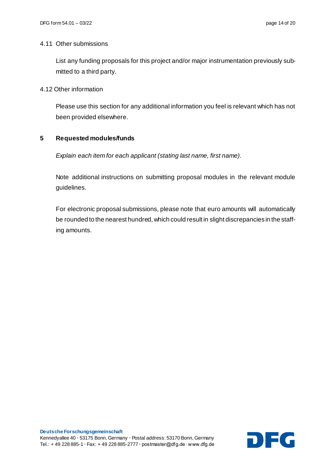#### 4.11 Other submissions

List any funding proposals for this project and/or major instrumentation previously submitted to a third party.

#### 4.12 Other information

Please use this section for any additional information you feel is relevant which has not been provided elsewhere.

### **5 Requested modules/funds**

*Explain each item for each applicant (stating last name, first name).*

Note additional instructions on submitting proposal modules in the relevant module guidelines.

For electronic proposal submissions, please note that euro amounts will automatically be rounded to the nearest hundred, which could result in slight discrepancies in the staffing amounts.

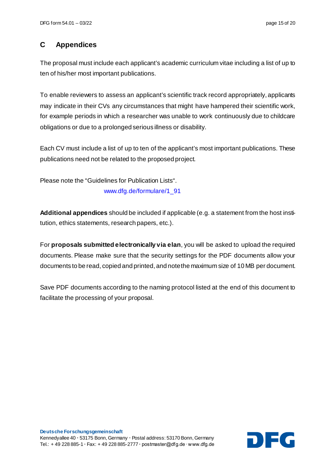## **C Appendices**

The proposal must include each applicant's academic curriculum vitae including a list of up to ten of his/her most important publications.

To enable reviewers to assess an applicant's scientific track record appropriately, applicants may indicate in their CVs any circumstances that might have hampered their scientific work, for example periods in which a researcher was unable to work continuously due to childcare obligations or due to a prolonged serious illness or disability.

Each CV must include a list of up to ten of the applicant's most important publications. These publications need not be related to the proposed project.

Please note the "Guidelines for Publication Lists".

[www.dfg.de/formulare/1\\_91](http://www.dfg.de/formulare/1_91)

**Additional appendices** should be included if applicable (e.g. a statement from the host institution, ethics statements, research papers, etc.).

For **proposals submitted electronically via elan**, you will be asked to upload the required documents. Please make sure that the security settings for the PDF documents allow your documents to be read, copied and printed, and note the maximum size of 10 MB per document.

Save PDF documents according to the naming protocol listed at the end of this document to facilitate the processing of your proposal.

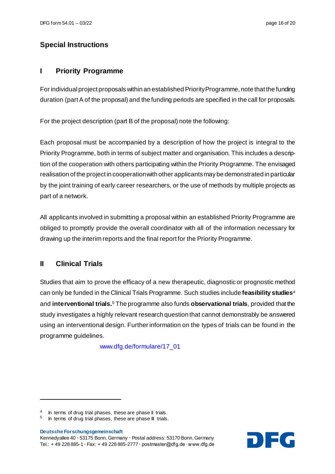# **Special Instructions**

## **I Priority Programme**

For individual project proposals within an established Priority Programme, note that the funding duration (part A of the proposal) and the funding periods are specified in the call for proposals.

For the project description (part B of the proposal) note the following:

Each proposal must be accompanied by a description of how the project is integral to the Priority Programme, both in terms of subject matter and organisation. This includes a description of the cooperation with others participating within the Priority Programme. The envisaged realisation of the project in cooperation with other applicants may be demonstrated in particular by the joint training of early career researchers, or the use of methods by multiple projects as part of a network.

All applicants involved in submitting a proposal within an established Priority Programme are obliged to promptly provide the overall coordinator with all of the information necessary for drawing up the interim reports and the final report for the Priority Programme.

# **II Clinical Trials**

Studies that aim to prove the efficacy of a new therapeutic, diagnostic or prognostic method can only be funded in the Clinical Trials Programme. Such studies include **feasibility studies**[4](#page-15-0) and **interventional trials.**[5](#page-15-1) The programme also funds **observational trials**, provided that the study investigates a highly relevant research question that cannot demonstrably be answered using an interventional design. Further information on the types of trials can be found in the programme guidelines.

[www.dfg.de/formulare/17\\_01](http://www.dfg.de/formulare/17_01/)

**Deutsche Forschungsgemeinschaft**

1

Kennedyallee 40 **∙** 53175 Bonn, Germany **∙** Postal address: 53170 Bonn, Germany **Deutsche Forschungsgemeinschaft<br>Kennedyallee 40 • 53175 Bonn, Germany • Postal address: 53170 Bonn, Germany<br>Tel.: + 49 228 885-1 • Fax: + 49 228 885-2777 • postmaster@dfg.de ∙ www.dfg.de** 



<span id="page-15-0"></span><sup>&</sup>lt;sup>4</sup> In terms of drug trial phases, these are phase II trials.

<span id="page-15-1"></span> $5$  In terms of drug trial phases, these are phase III trials.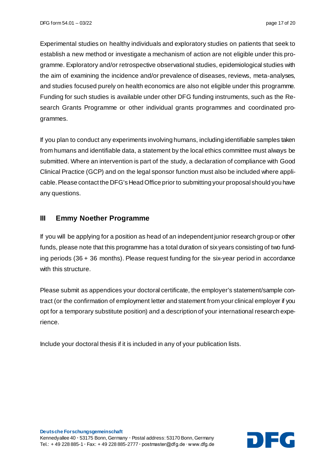Experimental studies on healthy individuals and exploratory studies on patients that seek to establish a new method or investigate a mechanism of action are not eligible under this programme. Exploratory and/or retrospective observational studies, epidemiological studies with the aim of examining the incidence and/or prevalence of diseases, reviews, meta-analyses, and studies focused purely on health economics are also not eligible under this programme. Funding for such studies is available under other DFG funding instruments, such as the Research Grants Programme or other individual grants programmes and coordinated programmes.

If you plan to conduct any experiments involving humans, including identifiable samples taken from humans and identifiable data, a statement by the local ethics committee must always be submitted. Where an intervention is part of the study, a declaration of compliance with Good Clinical Practice (GCP) and on the legal sponsor function must also be included where applicable. Please contact the DFG's Head Office prior to submitting your proposal should you have any questions.

## **III Emmy Noether Programme**

If you will be applying for a position as head of an independent junior research group or other funds, please note that this programme has a total duration of six years consisting of two funding periods (36 + 36 months). Please request funding for the six-year period in accordance with this structure.

Please submit as appendices your doctoral certificate, the employer's statement/sample contract (or the confirmation of employment letter and statement from your clinical employer if you opt for a temporary substitute position) and a description of your international research experience.

Include your doctoral thesis if it is included in any of your publication lists.

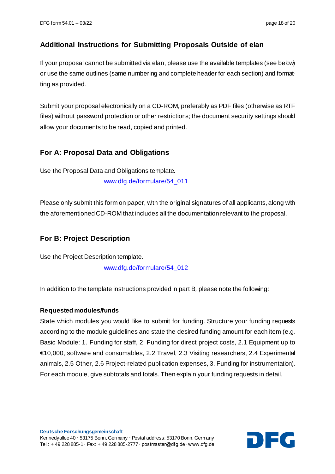## **Additional Instructions for Submitting Proposals Outside of elan**

If your proposal cannot be submitted via elan, please use the available templates (see below) or use the same outlines (same numbering and complete header for each section) and formatting as provided.

Submit your proposal electronically on a CD-ROM, preferably as PDF files (otherwise as RTF files) without password protection or other restrictions; the document security settings should allow your documents to be read, copied and printed.

## **For A: Proposal Data and Obligations**

Use the Proposal Data and Obligations template. [www.dfg.de/formulare/54\\_011](http://www.dfg.de/formulare/54_011)

Please only submit this form on paper, with the original signatures of all applicants, along with the aforementioned CD-ROM that includes all the documentation relevant to the proposal.

## **For B: Project Description**

Use the Project Description template. [www.dfg.de/formulare/54\\_012](http://www.dfg.de/formulare/54_012)

In addition to the template instructions provided in part B*,* please note the following:

#### **Requested modules/funds**

State which modules you would like to submit for funding. Structure your funding requests according to the module guidelines and state the desired funding amount for each item (e.g. Basic Module: 1. Funding for staff, 2. Funding for direct project costs, 2.1 Equipment up to €10,000, software and consumables, 2.2 Travel, 2.3 Visiting researchers, 2.4 Experimental animals, 2.5 Other, 2.6 Project-related publication expenses, 3. Funding for instrumentation). For each module, give subtotals and totals. Then explain your funding requests in detail.

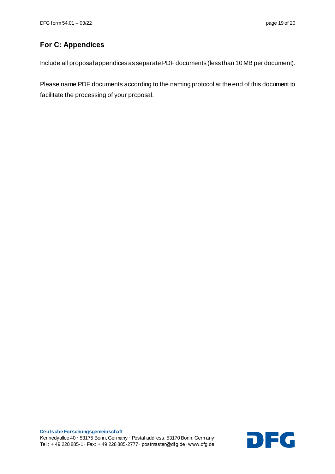## **For C: Appendices**

Include all proposal appendices as separate PDF documents (less than 10 MB per document).

Please name PDF documents according to the naming protocol at the end of this document to facilitate the processing of your proposal.